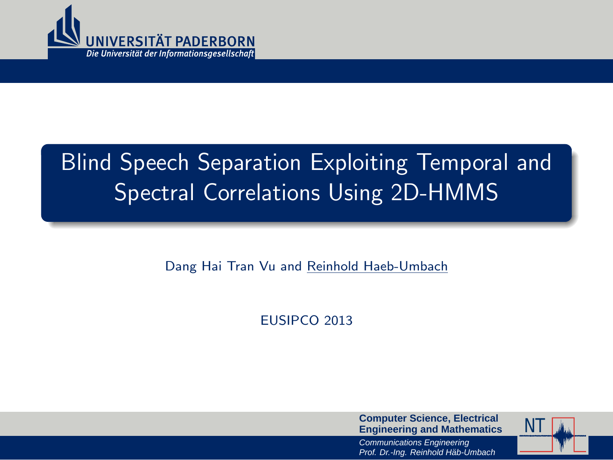

# Blind Speech Separation Exploiting Temporal and Spectral Correlations Using 2D-HMMS

Dang Hai Tran Vu and Reinhold Haeb-Umbach

EUSIPCO 2013

**Computer Science, Electrical Engineering and Mathematics**



<span id="page-0-0"></span>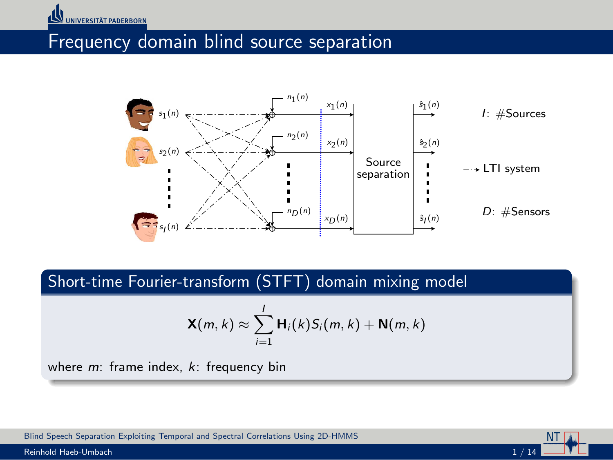#### Frequency domain blind source separation



Short-time Fourier-transform (STFT) domain mixing model

$$
\mathbf{X}(m,k) \approx \sum_{i=1}^I \mathbf{H}_i(k) S_i(m,k) + \mathbf{N}(m,k)
$$

NT

where  $m$ : frame index,  $k$ : frequency bin

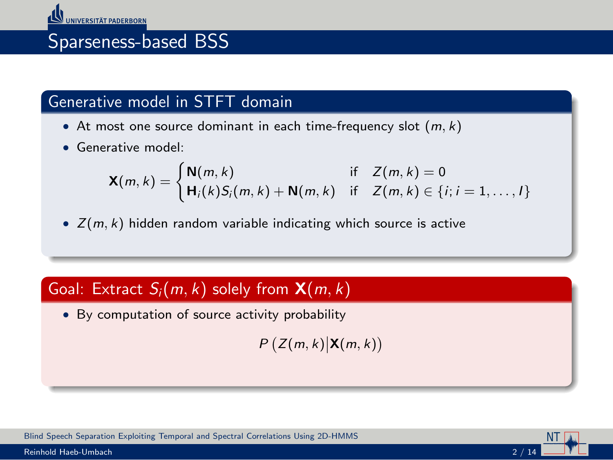## Sparseness-based BSS

### Generative model in STFT domain

- At most one source dominant in each time-frequency slot  $(m, k)$
- Generative model:

$$
\mathbf{X}(m,k) = \begin{cases} \mathbf{N}(m,k) & \text{if } Z(m,k) = 0\\ \mathbf{H}_i(k)S_i(m,k) + \mathbf{N}(m,k) & \text{if } Z(m,k) \in \{i; i = 1,\ldots, l\} \end{cases}
$$

•  $Z(m, k)$  hidden random variable indicating which source is active

### Goal: Extract  $S_i(m, k)$  solely from  $\mathbf{X}(m, k)$

• By computation of source activity probability

 $P(Z(m, k) | \mathbf{X}(m, k))$ 



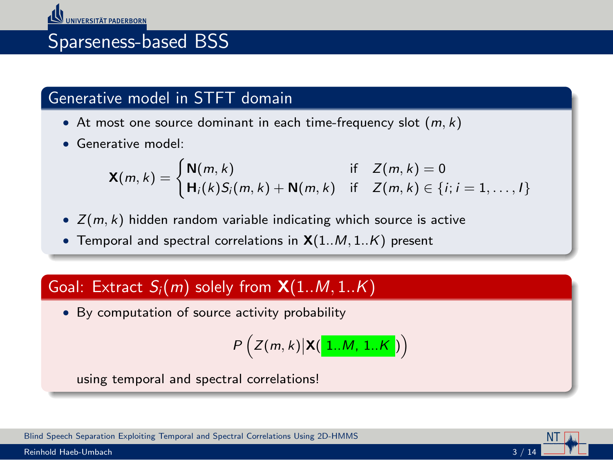### Sparseness-based BSS

#### Generative model in STFT domain

- At most one source dominant in each time-frequency slot  $(m, k)$
- Generative model:

$$
\mathbf{X}(m,k) = \begin{cases} \mathbf{N}(m,k) & \text{if } Z(m,k) = 0\\ \mathbf{H}_i(k)S_i(m,k) + \mathbf{N}(m,k) & \text{if } Z(m,k) \in \{i; i = 1,\ldots, l\} \end{cases}
$$

- $Z(m, k)$  hidden random variable indicating which source is active
- Temporal and spectral correlations in  $X(1..M, 1..K)$  present

#### Goal: Extract  $S_i(m)$  solely from  $\mathsf{X}(1..M,1..K)$

• By computation of source activity probability

$$
P\left(Z(m,k)|\mathbf{X}(\boxed{1..M,1..K})\right)
$$

using temporal and spectral correlations!

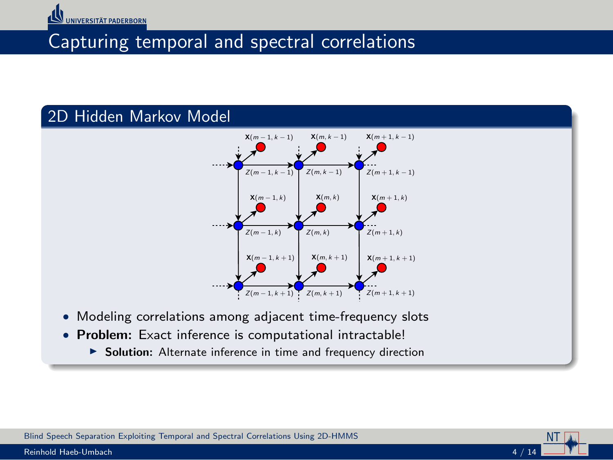

### Capturing temporal and spectral correlations

#### 2D Hidden Markov Model



NT

- Modeling correlations among adjacent time-frequency slots
- Problem: Exact inference is computational intractable!
	- ▶ Solution: Alternate inference in time and frequency direction



Reinhold Haeb-Umbach 4 / 14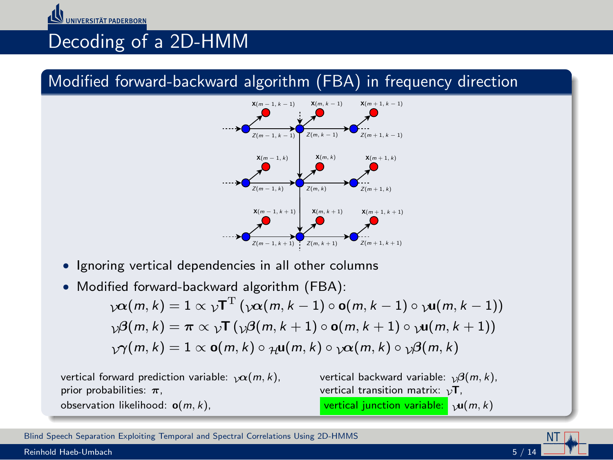### Decoding of a 2D-HMM

#### Modified forward-backward algorithm (FBA) in frequency direction



- Ignoring vertical dependencies in all other columns
- Modified forward-backward algorithm (FBA):

 $\chi\boldsymbol{\alpha}(m,k)=1 \propto \sqrt{\Gamma}^{\mathrm{T}}\left(\chi\boldsymbol{\alpha}(m,k-1)\circ \mathbf{o}(m,k-1)\circ \chi\mathbf{u}(m,k-1)\right)$  $\mathcal{D}(\mathcal{B}(m, k) = \pi \propto \mathcal{D} \mathsf{T} \left( \mathcal{D}(\mathcal{B}(m, k+1) \circ \mathsf{o}(m, k+1) \circ \mathcal{D}(\mathsf{m}, k+1) \right)$  $\gamma$  $\gamma$  $(m, k) = 1 \propto$  **o** $(m, k) \circ \gamma$ **u** $(m, k) \circ \gamma \alpha$  $(m, k) \circ \gamma \beta$  $(m, k)$ 





Reinhold Haeb-Umbach  $5 / 14$ 

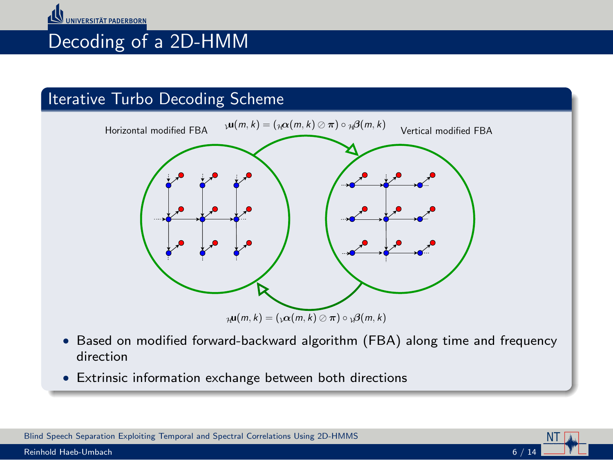### Decoding of a 2D-HMM

#### Iterative Turbo Decoding Scheme



• Based on modified forward-backward algorithm (FBA) along time and frequency direction

NT

• Extrinsic information exchange between both directions

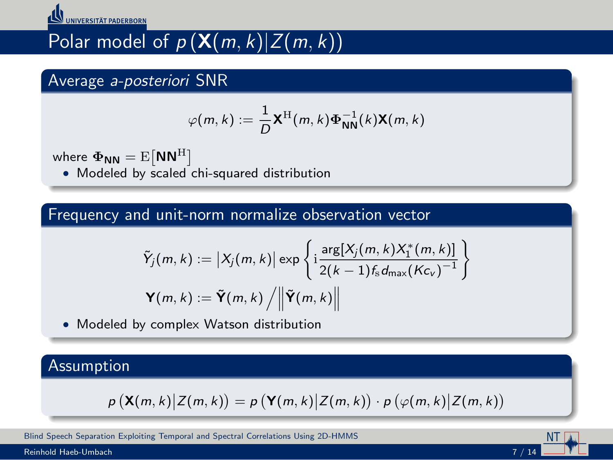

# Polar model of  $p(X(m, k)]Z(m, k))$

#### Average a-posteriori SNR

$$
\varphi(m,k) := \frac{1}{D} \mathbf{X}^{\mathrm{H}}(m,k) \boldsymbol{\Phi}_{\mathbf{NN}}^{-1}(k) \mathbf{X}(m,k)
$$

where  ${\bf \Phi_{NN}}={\rm E}\big[{\bf NN}^{\rm H}\big]$ 

• Modeled by scaled chi-squared distribution

#### Frequency and unit-norm normalize observation vector

$$
\tilde{Y}_j(m,k) := |X_j(m,k)| \exp \left\{ i \frac{\arg[X_j(m,k)X_1^*(m,k)]}{2(k-1)f_s d_{\max}(Kc_v)^{-1}} \right\}
$$

$$
\mathbf{Y}(m,k) := \tilde{\mathbf{Y}}(m,k) / ||\tilde{\mathbf{Y}}(m,k)||
$$

• Modeled by complex Watson distribution

#### Assumption

$$
p\left(\mathbf{X}(m,k)\middle|Z(m,k)\right)=p\left(\mathbf{Y}(m,k)\middle|Z(m,k)\right)\cdot p\left(\varphi(m,k)\middle|Z(m,k)\right)
$$

[Blind Speech Separation Exploiting Temporal and Spectral Correlations Using 2D-HMMS](#page-0-0)

Reinhold Haeb-Umbach 7 / 14

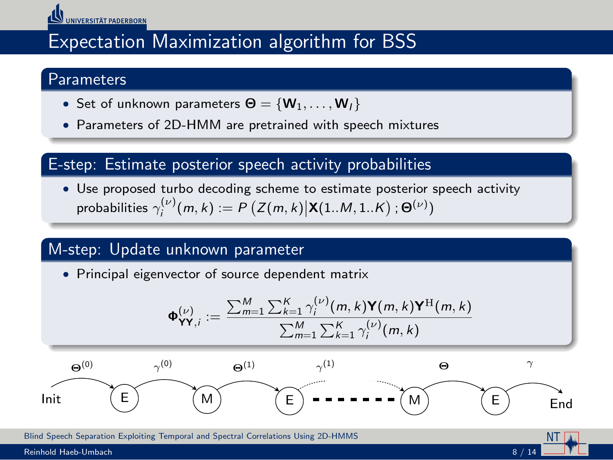

### Expectation Maximization algorithm for BSS

#### **Parameters**

- Set of unknown parameters  $\Theta = \{W_1, \ldots, W_l\}$
- Parameters of 2D-HMM are pretrained with speech mixtures

#### E-step: Estimate posterior speech activity probabilities

• Use proposed turbo decoding scheme to estimate posterior speech activity probabilities  $\gamma_i^{(\nu)}(m,k) := P\left(Z(m,k) | \mathbf{X}(1..M,1..K) ; \Theta^{(\nu)}\right)$ 

#### M-step: Update unknown parameter

• Principal eigenvector of source dependent matrix



NT

[Blind Speech Separation Exploiting Temporal and Spectral Correlations Using 2D-HMMS](#page-0-0)

Reinhold Haeb-Umbach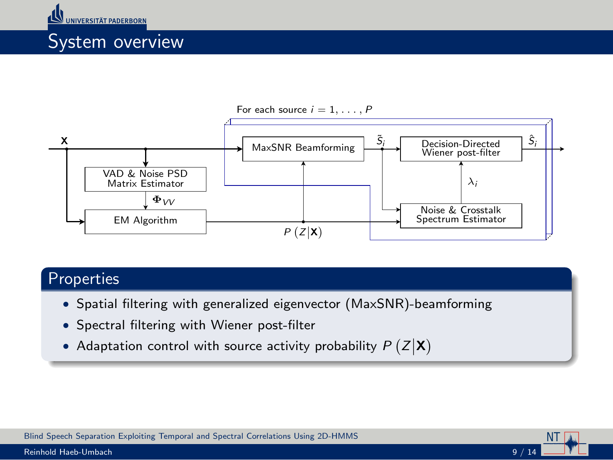



NT

#### Properties

- Spatial filtering with generalized eigenvector (MaxSNR)-beamforming
- Spectral filtering with Wiener post-filter
- Adaptation control with source activity probability  $P(Z|\mathbf{X})$

[Blind Speech Separation Exploiting Temporal and Spectral Correlations Using 2D-HMMS](#page-0-0)

Reinhold Haeb-Umbach 9 / 14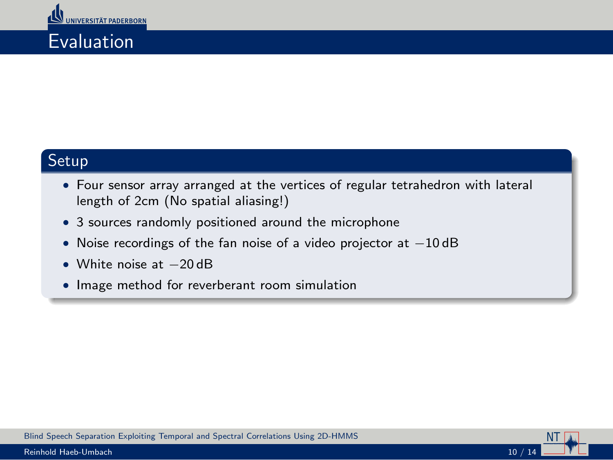### Evaluation

#### Setup

- Four sensor array arranged at the vertices of regular tetrahedron with lateral length of 2cm (No spatial aliasing!)
- 3 sources randomly positioned around the microphone
- Noise recordings of the fan noise of a video projector at −10 dB
- White noise at −20 dB
- Image method for reverberant room simulation



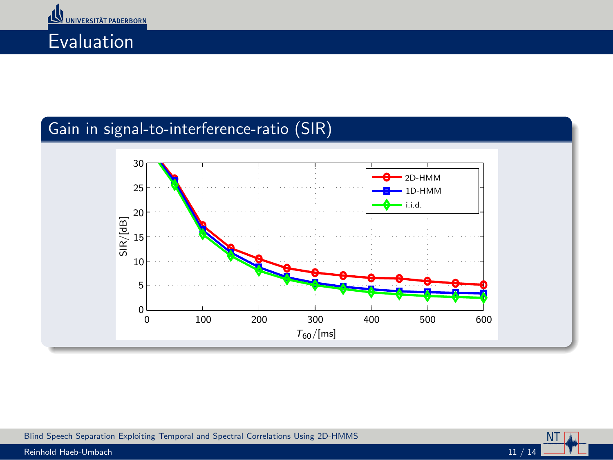



### Gain in signal-to-interference-ratio (SIR)







Reinhold Haeb-Umbach 11 / 14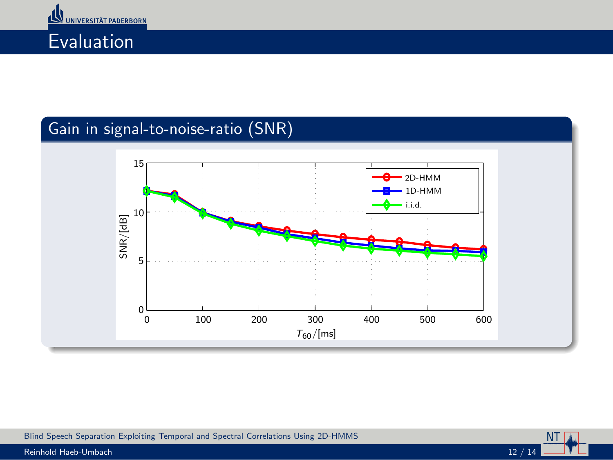



### Gain in signal-to-noise-ratio (SNR)







Reinhold Haeb-Umbach 12 / 14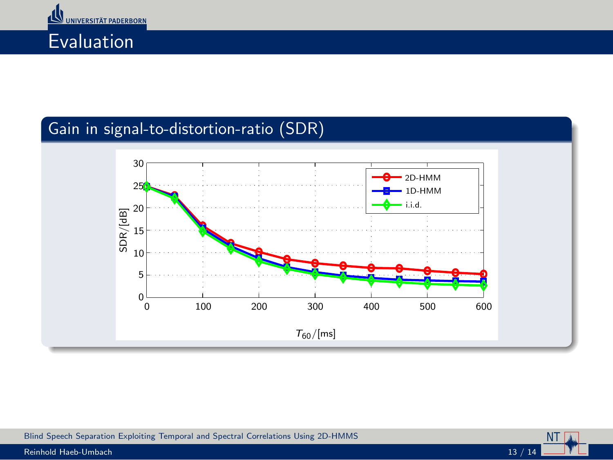



### Gain in signal-to-distortion-ratio (SDR)



NT



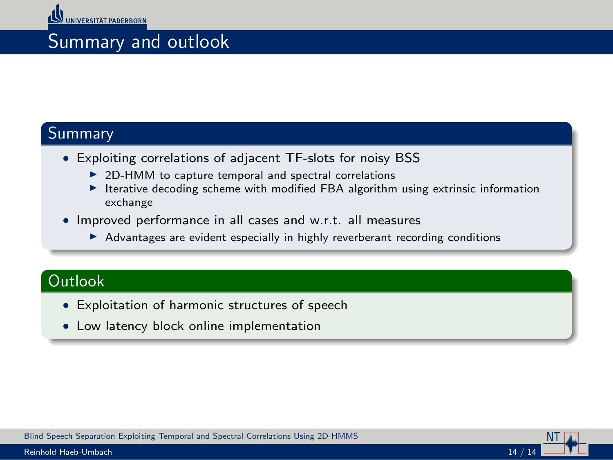### Summary and outlook

#### **Summary**

- Exploiting correlations of adjacent TF-slots for noisy BSS
	- $\triangleright$  2D-HMM to capture temporal and spectral correlations
	- $\blacktriangleright$  Iterative decoding scheme with modified FBA algorithm using extrinsic information exchange
- Improved performance in all cases and w.r.t. all measures
	- ▶ Advantages are evident especially in highly reverberant recording conditions

#### **Outlook**

- Exploitation of harmonic structures of speech
- Low latency block online implementation